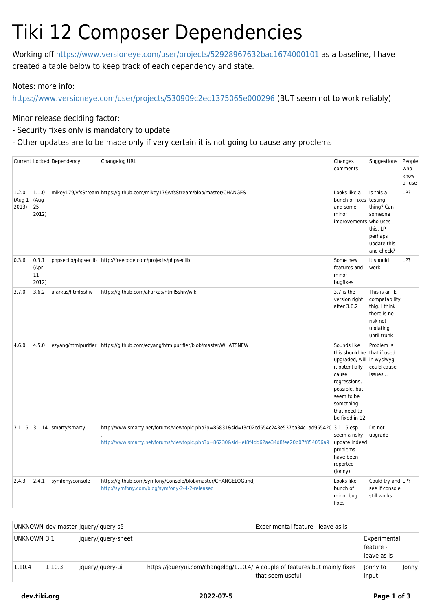## Tiki 12 Composer Dependencies

Working off<https://www.versioneye.com/user/projects/52928967632bac1674000101>as a baseline, I have created a table below to keep track of each dependency and state.

Notes: more info:

<https://www.versioneye.com/user/projects/530909c2ec1375065e000296>(BUT seem not to work reliably)

Minor release deciding factor:

- Security fixes only is mandatory to update
- Other updates are to be made only if very certain it is not going to cause any problems

|                                  |                              | Current Locked Dependency   | Changelog URL                                                                                                                                                                                  | Changes<br>comments                                                                                                                                                                              | Suggestions                                                                                           | People<br>who<br>know<br>or use |
|----------------------------------|------------------------------|-----------------------------|------------------------------------------------------------------------------------------------------------------------------------------------------------------------------------------------|--------------------------------------------------------------------------------------------------------------------------------------------------------------------------------------------------|-------------------------------------------------------------------------------------------------------|---------------------------------|
| 1.2.0<br>(Aug 1 (Aug<br>2013) 25 | 1.1.0<br>2012)               |                             | mikey179/vfsStream https://github.com/mikey179/vfsStream/blob/master/CHANGES                                                                                                                   | Looks like a<br>bunch of fixes testing<br>and some<br>minor<br>improvements who uses                                                                                                             | Is this a<br>thing? Can<br>someone<br>this, LP<br>perhaps<br>update this<br>and check?                | LP?                             |
| 0.3.6                            | 0.3.1<br>(Apr<br>11<br>2012) |                             | phpseclib/phpseclib http://freecode.com/projects/phpseclib                                                                                                                                     | Some new<br>features and<br>minor<br>bugfixes                                                                                                                                                    | It should<br>work                                                                                     | LP?                             |
| 3.7.0                            | 3.6.2                        | afarkas/html5shiv           | https://github.com/aFarkas/html5shiv/wiki                                                                                                                                                      | 3.7 is the<br>version right<br>after 3.6.2                                                                                                                                                       | This is an IE<br>compatability<br>thig. I think<br>there is no<br>risk not<br>updating<br>until trunk |                                 |
| 4.6.0                            | 4.5.0                        |                             | ezyang/htmlpurifier https://github.com/ezyang/htmlpurifier/blob/master/WHATSNEW                                                                                                                | Sounds like<br>this should be that if used<br>upgraded, will in wysiwyg<br>it potentially<br>cause<br>regressions,<br>possible, but<br>seem to be<br>something<br>that need to<br>be fixed in 12 | Problem is<br>could cause<br>issues                                                                   |                                 |
|                                  |                              | 3.1.16 3.1.14 smarty/smarty | http://www.smarty.net/forums/viewtopic.php?p=85831&sid=f3c02cd554c243e537ea34c1ad955420 3.1.15 esp.<br>http://www.smarty.net/forums/viewtopic.php?p=86230&sid=ef8f4dd62ae34d8fee20b07f854056a9 | seem a risky<br>update indeed<br>problems<br>have been<br>reported<br>(Jonny)                                                                                                                    | Do not<br>upgrade                                                                                     |                                 |
| 2.4.3                            | 2.4.1                        | symfony/console             | https://github.com/symfony/Console/blob/master/CHANGELOG.md,<br>http://symfony.com/blog/symfony-2-4-2-released                                                                                 | Looks like<br>bunch of<br>minor bug<br>fixes                                                                                                                                                     | Could try and LP?<br>see if console<br>still works                                                    |                                 |

|             |        | UNKNOWN dev-master jquery/jquery-s5 | Experimental feature - leave as is                                                               |  |                                          |       |  |
|-------------|--------|-------------------------------------|--------------------------------------------------------------------------------------------------|--|------------------------------------------|-------|--|
| UNKNOWN 3.1 |        | jquery/jquery-sheet                 |                                                                                                  |  | Experimental<br>feature -<br>leave as is |       |  |
| 1.10.4      | 1.10.3 | jquery/jquery-ui                    | https://jqueryui.com/changelog/1.10.4/ A couple of features but mainly fixes<br>that seem useful |  | Jonny to<br>input                        | Jonny |  |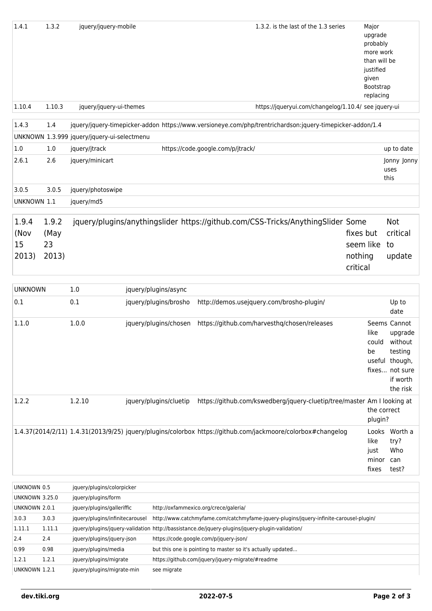| 1.4.1                                  | 1.3.2  | jquery/jquery-mobile                              |                        |                                       | 1.3.2, is the last of the 1.3 series                                                                        | Major<br>upgrade<br>probably<br>more work<br>than will be<br>justified<br>given<br>Bootstrap<br>replacing |                             |
|----------------------------------------|--------|---------------------------------------------------|------------------------|---------------------------------------|-------------------------------------------------------------------------------------------------------------|-----------------------------------------------------------------------------------------------------------|-----------------------------|
| 1.10.4                                 | 1.10.3 | jquery/jquery-ui-themes                           |                        |                                       | https://jqueryui.com/changelog/1.10.4/ see jquery-ui                                                        |                                                                                                           |                             |
|                                        |        |                                                   |                        |                                       |                                                                                                             |                                                                                                           |                             |
| 1.4.3                                  | 1.4    |                                                   |                        |                                       | jquery/jquery-timepicker-addon https://www.versioneye.com/php/trentrichardson:jquery-timepicker-addon/1.4   |                                                                                                           |                             |
|                                        |        | UNKNOWN 1.3.999 jquery/jquery-ui-selectmenu       |                        |                                       |                                                                                                             |                                                                                                           |                             |
| 1.0                                    | 1.0    | jquery/jtrack                                     |                        | https://code.google.com/p/jtrack/     |                                                                                                             |                                                                                                           | up to date                  |
| 2.6.1                                  | 2.6    | jquery/minicart                                   |                        |                                       |                                                                                                             |                                                                                                           | Jonny Jonny<br>uses<br>this |
| 3.0.5                                  | 3.0.5  | jquery/photoswipe                                 |                        |                                       |                                                                                                             |                                                                                                           |                             |
| UNKNOWN 1.1                            |        | jquery/md5                                        |                        |                                       |                                                                                                             |                                                                                                           |                             |
|                                        |        |                                                   |                        |                                       |                                                                                                             |                                                                                                           |                             |
| 1.9.4                                  | 1.9.2  |                                                   |                        |                                       | jquery/plugins/anythingslider https://github.com/CSS-Tricks/AnythingSlider Some                             |                                                                                                           | <b>Not</b>                  |
| (Nov                                   | (May   |                                                   |                        |                                       |                                                                                                             | fixes but                                                                                                 | critical                    |
| 15                                     | 23     |                                                   |                        |                                       |                                                                                                             | seem like                                                                                                 | to                          |
| 2013)                                  | 2013)  |                                                   |                        |                                       |                                                                                                             | nothing                                                                                                   | update                      |
|                                        |        |                                                   |                        |                                       |                                                                                                             | critical                                                                                                  |                             |
| <b>UNKNOWN</b>                         |        | 1.0                                               | jquery/plugins/async   |                                       |                                                                                                             |                                                                                                           |                             |
| 0.1                                    |        | 0.1                                               | jquery/plugins/brosho  |                                       | http://demos.usejquery.com/brosho-plugin/                                                                   |                                                                                                           | Up to                       |
|                                        |        |                                                   |                        |                                       |                                                                                                             |                                                                                                           | date                        |
| 1.1.0                                  |        | 1.0.0                                             | jquery/plugins/chosen  |                                       | https://github.com/harvesthq/chosen/releases                                                                | like                                                                                                      | Seems Cannot<br>upgrade     |
|                                        |        |                                                   |                        |                                       |                                                                                                             |                                                                                                           | could without               |
|                                        |        |                                                   |                        |                                       |                                                                                                             | be                                                                                                        | testing                     |
|                                        |        |                                                   |                        |                                       |                                                                                                             |                                                                                                           | useful though,              |
|                                        |        |                                                   |                        |                                       |                                                                                                             |                                                                                                           | fixes not sure<br>if worth  |
|                                        |        |                                                   |                        |                                       |                                                                                                             |                                                                                                           | the risk                    |
| 1.2.2                                  |        | 1.2.10                                            | jquery/plugins/cluetip |                                       | https://github.com/kswedberg/jquery-cluetip/tree/master Am I looking at                                     |                                                                                                           |                             |
|                                        |        |                                                   |                        |                                       |                                                                                                             |                                                                                                           | the correct                 |
|                                        |        |                                                   |                        |                                       |                                                                                                             | plugin?                                                                                                   |                             |
|                                        |        |                                                   |                        |                                       | 1.4.37(2014/2/11) 1.4.31(2013/9/25) jquery/plugins/colorbox https://github.com/jackmoore/colorbox#changelog |                                                                                                           | Looks Worth a               |
|                                        |        |                                                   |                        |                                       |                                                                                                             | like                                                                                                      | try?<br>Who                 |
|                                        |        |                                                   |                        |                                       |                                                                                                             | just<br>minor                                                                                             | can                         |
|                                        |        |                                                   |                        |                                       |                                                                                                             | fixes                                                                                                     | test?                       |
|                                        |        |                                                   |                        |                                       |                                                                                                             |                                                                                                           |                             |
| UNKNOWN 0.5                            |        | jquery/plugins/colorpicker                        |                        |                                       |                                                                                                             |                                                                                                           |                             |
| <b>UNKNOWN 3.25.0</b><br>UNKNOWN 2.0.1 |        | jquery/plugins/form<br>iquery/plugins/galleriffic |                        | http://oxfammexico.org/crece/galeria/ |                                                                                                             |                                                                                                           |                             |

| <b>UNKNOWN 3.25.0</b> |        | jquery/plugins/form             |                                                                                                 |
|-----------------------|--------|---------------------------------|-------------------------------------------------------------------------------------------------|
| UNKNOWN 2.0.1         |        | jquery/plugins/galleriffic      | http://oxfammexico.org/crece/galeria/                                                           |
| 3.0.3                 | 3.0.3  | jquery/plugins/infinitecarousel | http://www.catchmyfame.com/catchmyfame-jquery-plugins/jquery-infinite-carousel-plugin/          |
| 1.11.1                | 1.11.1 |                                 | jquery/plugins/jquery-validation http://bassistance.de/jquery-plugins/jquery-plugin-validation/ |
| 2.4                   | 2.4    | jquery/plugins/jquery-json      | https://code.google.com/p/jquery-json/                                                          |
| 0.99                  | 0.98   | jquery/plugins/media            | but this one is pointing to master so it's actually updated                                     |
| 1.2.1                 | 1.2.1  | jquery/plugins/migrate          | https://github.com/jquery/jquery-migrate/#readme                                                |
| UNKNOWN 1.2.1         |        | jquery/plugins/migrate-min      | see migrate                                                                                     |
|                       |        |                                 |                                                                                                 |